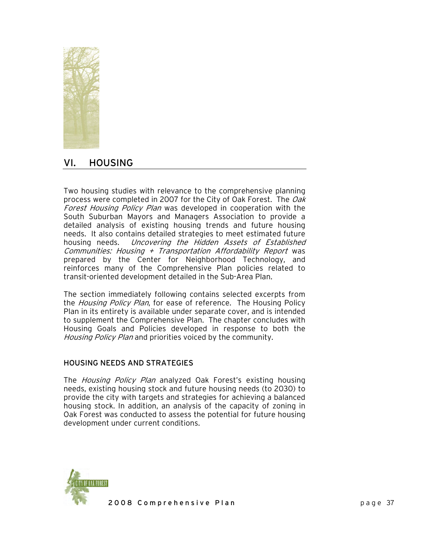

# VI. HOUSING

Two housing studies with relevance to the comprehensive planning process were completed in 2007 for the City of Oak Forest. The Oak Forest Housing Policy Plan was developed in cooperation with the South Suburban Mayors and Managers Association to provide a detailed analysis of existing housing trends and future housing needs. It also contains detailed strategies to meet estimated future housing needs. Uncovering the Hidden Assets of Established Communities: Housing  $+$  Transportation Affordability Report was prepared by the Center for Neighborhood Technology, and reinforces many of the Comprehensive Plan policies related to transit-oriented development detailed in the Sub-Area Plan.

The section immediately following contains selected excerpts from the Housing Policy Plan, for ease of reference. The Housing Policy Plan in its entirety is available under separate cover, and is intended to supplement the Comprehensive Plan. The chapter concludes with Housing Goals and Policies developed in response to both the Housing Policy Plan and priorities voiced by the community.

### HOUSING NEEDS AND STRATEGIES

The *Housing Policy Plan* analyzed Oak Forest's existing housing needs, existing housing stock and future housing needs (to 2030) to provide the city with targets and strategies for achieving a balanced housing stock. In addition, an analysis of the capacity of zoning in Oak Forest was conducted to assess the potential for future housing development under current conditions.

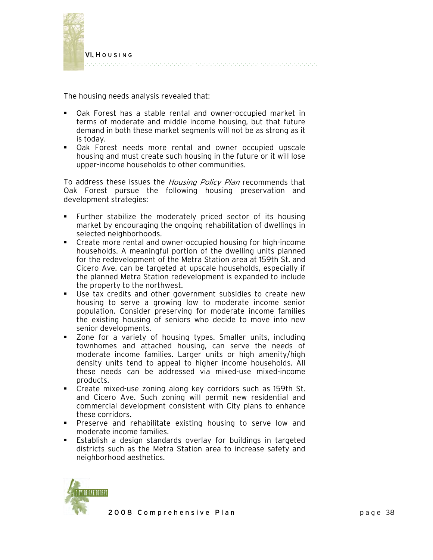

The housing needs analysis revealed that:

- Oak Forest has a stable rental and owner-occupied market in terms of moderate and middle income housing, but that future demand in both these market segments will not be as strong as it is today.
- Oak Forest needs more rental and owner occupied upscale housing and must create such housing in the future or it will lose upper-income households to other communities.

To address these issues the Housing Policy Plan recommends that Oak Forest pursue the following housing preservation and development strategies:

- Further stabilize the moderately priced sector of its housing market by encouraging the ongoing rehabilitation of dwellings in selected neighborhoods.
- Create more rental and owner-occupied housing for high-income households. A meaningful portion of the dwelling units planned for the redevelopment of the Metra Station area at 159th St. and Cicero Ave. can be targeted at upscale households, especially if the planned Metra Station redevelopment is expanded to include the property to the northwest.
- Use tax credits and other government subsidies to create new housing to serve a growing low to moderate income senior population. Consider preserving for moderate income families the existing housing of seniors who decide to move into new senior developments.
- Zone for a variety of housing types. Smaller units, including townhomes and attached housing, can serve the needs of moderate income families. Larger units or high amenity/high density units tend to appeal to higher income households. All these needs can be addressed via mixed-use mixed-income products.
- Create mixed-use zoning along key corridors such as 159th St. and Cicero Ave. Such zoning will permit new residential and commercial development consistent with City plans to enhance these corridors.
- Preserve and rehabilitate existing housing to serve low and moderate income families.
- Establish a design standards overlay for buildings in targeted districts such as the Metra Station area to increase safety and neighborhood aesthetics.

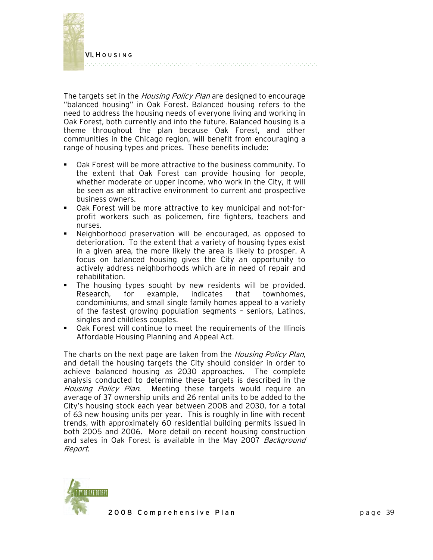

The targets set in the *Housing Policy Plan* are designed to encourage "balanced housing" in Oak Forest. Balanced housing refers to the need to address the housing needs of everyone living and working in Oak Forest, both currently and into the future. Balanced housing is a theme throughout the plan because Oak Forest, and other communities in the Chicago region, will benefit from encouraging a range of housing types and prices. These benefits include:

- Oak Forest will be more attractive to the business community. To the extent that Oak Forest can provide housing for people, whether moderate or upper income, who work in the City, it will be seen as an attractive environment to current and prospective business owners.
- Oak Forest will be more attractive to key municipal and not-forprofit workers such as policemen, fire fighters, teachers and nurses.
- Neighborhood preservation will be encouraged, as opposed to deterioration. To the extent that a variety of housing types exist in a given area, the more likely the area is likely to prosper. A focus on balanced housing gives the City an opportunity to actively address neighborhoods which are in need of repair and rehabilitation.
- The housing types sought by new residents will be provided. Research, for example, indicates that townhomes, condominiums, and small single family homes appeal to a variety of the fastest growing population segments – seniors, Latinos, singles and childless couples.
- Oak Forest will continue to meet the requirements of the Illinois Affordable Housing Planning and Appeal Act.

The charts on the next page are taken from the *Housing Policy Plan*, and detail the housing targets the City should consider in order to achieve balanced housing as 2030 approaches. The complete analysis conducted to determine these targets is described in the Housing Policy Plan. Meeting these targets would require an average of 37 ownership units and 26 rental units to be added to the City's housing stock each year between 2008 and 2030, for a total of 63 new housing units per year. This is roughly in line with recent trends, with approximately 60 residential building permits issued in both 2005 and 2006. More detail on recent housing construction and sales in Oak Forest is available in the May 2007 Background Report.

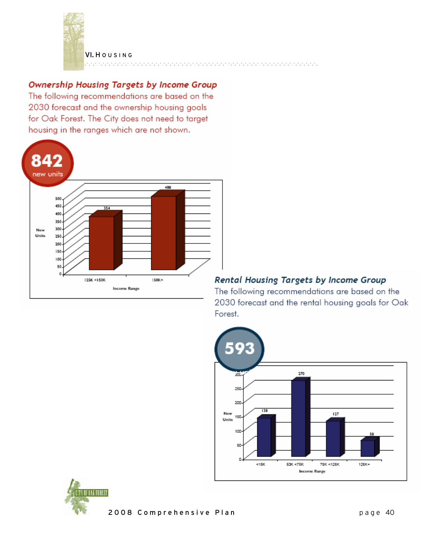

VI. HOUSING 2010/01/2010/01/2010/01/2010/01/2010/01/2010/01/2010/01/2010/01/2010/01

## Ownership Housing Targets by Income Group

The following recommendations are based on the 2030 forecast and the ownership housing goals for Oak Forest. The City does not need to target housing in the ranges which are not shown.



### Rental Housing Targets by Income Group

The following recommendations are based on the 2030 forecast and the rental housing goals for Oak Forest.